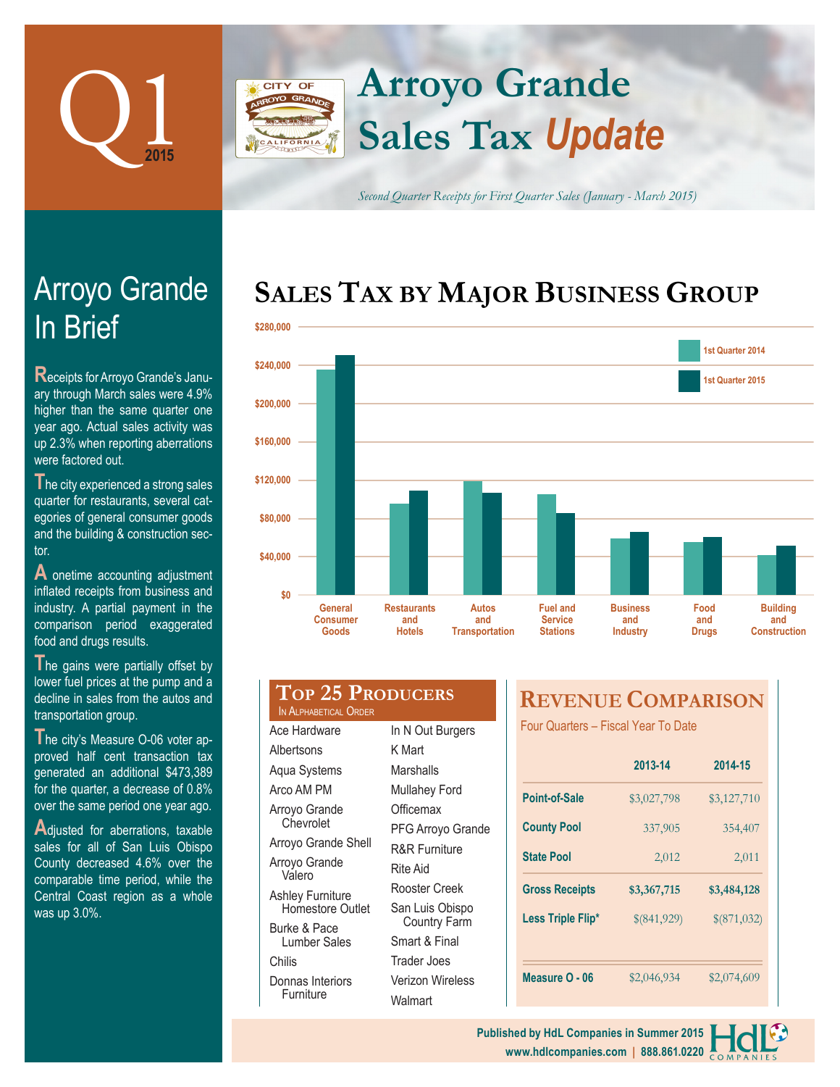

# **Arroyo Grande** CITY OF **Sales Tax** *Update*

*Second Quarter Receipts for First Quarter Sales (January - March 2015)*

# **SALES TAX BY MAJOR BUSINESS GROUP**



| food and drugs results.             |
|-------------------------------------|
|                                     |
| The gains were partially offset by  |
| lower fuel prices at the pump and a |
| decline in sales from the autos and |
| transportation group.               |

proved half cent transaction tax generated an additional \$473,389 for the quarter, a decrease of 0.8% over the same period one year ago.

**A**djusted for aberrations, taxable sales for all of San Luis Obispo County decreased 4.6% over the comparable time period, while the Central Coast region as a whole was up 3.0%.

| TOP 25 PRODUCERS<br>IN ALPHABETICAL ORDER |                  |
|-------------------------------------------|------------------|
| Ace Hardware                              | In N Out Burgers |
|                                           |                  |

**Albertsons** Aqua Systems Arco AM PM Arroyo Grande **Chevrolet** Arroyo Grande Shell Arroyo Grande Valero Ashley Furniture Homestore Outlet Burke & Pace Lumber Sales Donnas Interiors **Furniture** K Mart **Marshalls** Mullahey Ford **Officemax** PFG Arroyo Grande R&R Furniture Rite Aid Rooster Creek San Luis Obispo Country Farm Smart & Final Trader Joes Verizon Wireless **Walmart** 

Chilis

# **REVENUE COMPARISON**

Four Quarters – Fiscal Year To Date

|                       | 2013-14     | 2014-15     |
|-----------------------|-------------|-------------|
| <b>Point-of-Sale</b>  | \$3,027,798 | \$3,127,710 |
| <b>County Pool</b>    | 337,905     | 354,407     |
| <b>State Pool</b>     | 2,012       | 2,011       |
|                       |             |             |
| <b>Gross Receipts</b> | \$3,367,715 | \$3,484,128 |
| Less Triple Flip*     | \$(841,929) | \$(871,032) |
|                       |             |             |



# In Brief Arroyo Grande

**R**eceipts for Arroyo Grande's January through March sales were 4.9% higher than the same quarter one year ago. Actual sales activity was up 2.3% when reporting aberrations were factored out.

**T**he city experienced a strong sales quarter for restaurants, several categories of general consumer goods and the building & construction sector.

**A** onetime accounting adjustment inflated receipts from business and industry. A partial payment in the comparison period exaggerated

**T**he city's Measure O-06 voter ap-